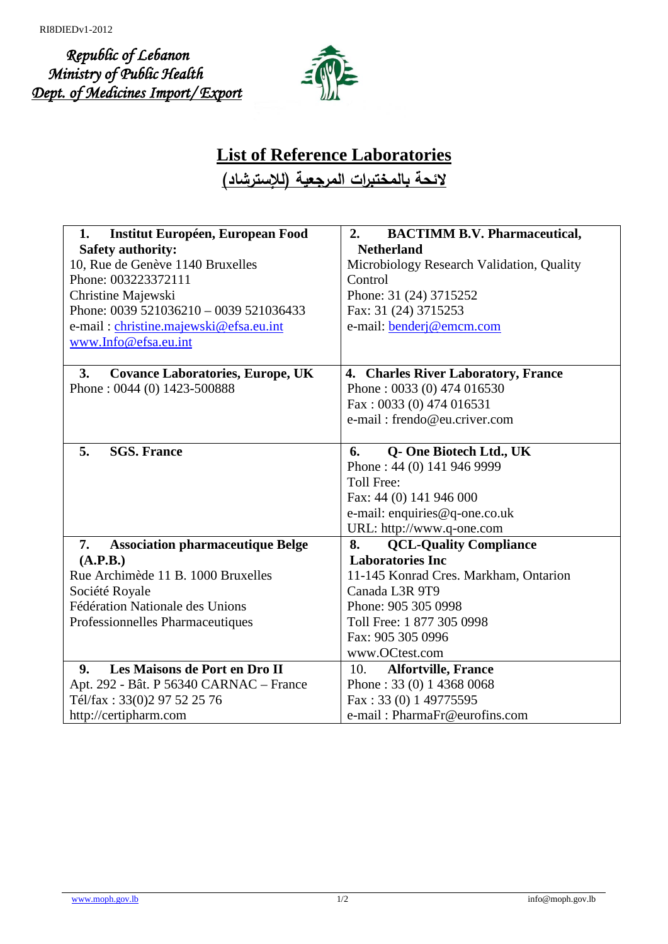*Republic of Lebanon Ministry of Public Health Dept. of Medicines Import/ Export*



## **List of Reference Laboratories**

**لائحة بالمختبرات المرجعیة (للإسترشاد)**

| <b>Institut Européen, European Food</b><br>1.   | <b>BACTIMM B.V. Pharmaceutical,</b><br>2. |
|-------------------------------------------------|-------------------------------------------|
| <b>Safety authority:</b>                        | <b>Netherland</b>                         |
| 10, Rue de Genève 1140 Bruxelles                | Microbiology Research Validation, Quality |
| Phone: 003223372111                             | Control                                   |
| Christine Majewski                              | Phone: 31 (24) 3715252                    |
| Phone: 0039 521036210 - 0039 521036433          | Fax: 31 (24) 3715253                      |
| e-mail: christine.majewski@efsa.eu.int          | e-mail: <b>bender</b> j@emcm.com          |
| www.Info@efsa.eu.int                            |                                           |
|                                                 |                                           |
| <b>Covance Laboratories, Europe, UK</b><br>3.   | 4. Charles River Laboratory, France       |
| Phone: 0044 (0) 1423-500888                     | Phone: 0033 (0) 474 016530                |
|                                                 | Fax: 0033 (0) 474 016531                  |
|                                                 | e-mail: frendo@eu.criver.com              |
|                                                 |                                           |
| 5.<br><b>SGS. France</b>                        | Q- One Biotech Ltd., UK<br>6.             |
|                                                 | Phone: 44 (0) 141 946 9999                |
|                                                 | Toll Free:                                |
|                                                 | Fax: 44 (0) 141 946 000                   |
|                                                 | e-mail: enquiries@q-one.co.uk             |
|                                                 | URL: http://www.q-one.com                 |
| <b>Association pharmaceutique Belge</b><br>7.   | <b>QCL-Quality Compliance</b><br>8.       |
| (A.P.B.)                                        | <b>Laboratories Inc</b>                   |
| Rue Archimède 11 B. 1000 Bruxelles              | 11-145 Konrad Cres. Markham, Ontarion     |
| Société Royale                                  | Canada L3R 9T9                            |
| Fédération Nationale des Unions                 | Phone: 905 305 0998                       |
| Professionnelles Pharmaceutiques                | Toll Free: 1 877 305 0998                 |
|                                                 | Fax: 905 305 0996                         |
|                                                 | www.OCtest.com                            |
| Les Maisons de Port en Dro II<br>9 <sub>r</sub> | <b>Alfortville, France</b><br>10.         |
| Apt. 292 - Bât. P 56340 CARNAC – France         | Phone: 33 (0) 1 4368 0068                 |
| Tél/fax: 33(0)2 97 52 25 76                     | Fax: 33 (0) 1 49775595                    |
| http://certipharm.com                           | e-mail: PharmaFr@eurofins.com             |